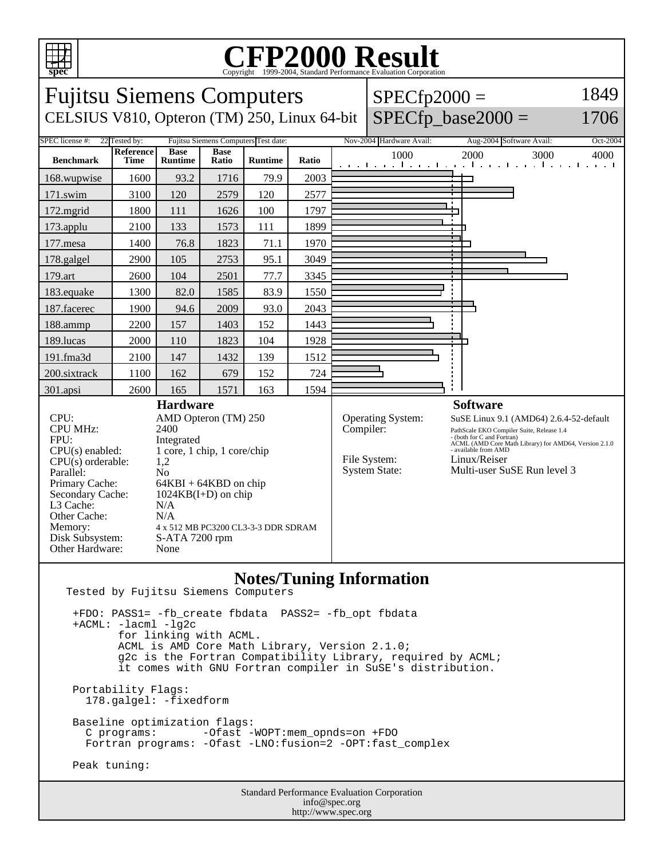

## Copyright ©1999-2004, Standard Performance Evaluation Corporation

| spec                                                                                                                                                                                                                                                                                                                                                                                                                                                                   |                   |                               |                      |                |                      |                                                    | Copyright ©1999-2004, Standard Performance Evaluation Corporation                                                                                                                                                                                                     |                                                                     |          |
|------------------------------------------------------------------------------------------------------------------------------------------------------------------------------------------------------------------------------------------------------------------------------------------------------------------------------------------------------------------------------------------------------------------------------------------------------------------------|-------------------|-------------------------------|----------------------|----------------|----------------------|----------------------------------------------------|-----------------------------------------------------------------------------------------------------------------------------------------------------------------------------------------------------------------------------------------------------------------------|---------------------------------------------------------------------|----------|
| <b>Fujitsu Siemens Computers</b>                                                                                                                                                                                                                                                                                                                                                                                                                                       |                   |                               |                      |                |                      |                                                    | $SPECfp2000 =$                                                                                                                                                                                                                                                        |                                                                     | 1849     |
| CELSIUS V810, Opteron (TM) 250, Linux 64-bit                                                                                                                                                                                                                                                                                                                                                                                                                           |                   |                               |                      |                | $SPECfp\_base2000 =$ | 1706                                               |                                                                                                                                                                                                                                                                       |                                                                     |          |
| <b>SPEC</b> license #:<br>22 Tested by:<br>Fujitsu Siemens Computers Test date:                                                                                                                                                                                                                                                                                                                                                                                        |                   |                               |                      |                |                      |                                                    | Nov-2004 Hardware Avail:                                                                                                                                                                                                                                              | Aug-2004 Software Avail:                                            | Oct-2004 |
| <b>Benchmark</b>                                                                                                                                                                                                                                                                                                                                                                                                                                                       | Reference<br>Time | <b>Base</b><br><b>Runtime</b> | <b>Base</b><br>Ratio | <b>Runtime</b> | Ratio                |                                                    | 1000                                                                                                                                                                                                                                                                  | 2000<br>3000<br>الأفقاء والمتعالم ومالحوه وأأحرف الحروج أحرقت الحرو | 4000     |
| 168.wupwise                                                                                                                                                                                                                                                                                                                                                                                                                                                            | 1600              | 93.2                          | 1716                 | 79.9           | 2003                 |                                                    |                                                                                                                                                                                                                                                                       |                                                                     |          |
| 171.swim                                                                                                                                                                                                                                                                                                                                                                                                                                                               | 3100              | 120                           | 2579                 | 120            | 2577                 |                                                    |                                                                                                                                                                                                                                                                       |                                                                     |          |
| $172$ .mgrid                                                                                                                                                                                                                                                                                                                                                                                                                                                           | 1800              | 111                           | 1626                 | 100            | 1797                 |                                                    |                                                                                                                                                                                                                                                                       |                                                                     |          |
| 173.applu                                                                                                                                                                                                                                                                                                                                                                                                                                                              | 2100              | 133                           | 1573                 | 111            | 1899                 |                                                    |                                                                                                                                                                                                                                                                       |                                                                     |          |
| $177$ .mesa                                                                                                                                                                                                                                                                                                                                                                                                                                                            | 1400              | 76.8                          | 1823                 | 71.1           | 1970                 |                                                    |                                                                                                                                                                                                                                                                       |                                                                     |          |
| 178.galgel                                                                                                                                                                                                                                                                                                                                                                                                                                                             | 2900              | 105                           | 2753                 | 95.1           | 3049                 |                                                    |                                                                                                                                                                                                                                                                       |                                                                     |          |
| 179.art                                                                                                                                                                                                                                                                                                                                                                                                                                                                | 2600              | 104                           | 2501                 | 77.7           | 3345                 |                                                    |                                                                                                                                                                                                                                                                       |                                                                     |          |
| 183.equake                                                                                                                                                                                                                                                                                                                                                                                                                                                             | 1300              | 82.0                          | 1585                 | 83.9           | 1550                 |                                                    |                                                                                                                                                                                                                                                                       |                                                                     |          |
| 187.facerec                                                                                                                                                                                                                                                                                                                                                                                                                                                            | 1900              | 94.6                          | 2009                 | 93.0           | 2043                 |                                                    |                                                                                                                                                                                                                                                                       |                                                                     |          |
| 188.ammp                                                                                                                                                                                                                                                                                                                                                                                                                                                               | 2200              | 157                           | 1403                 | 152            | 1443                 |                                                    |                                                                                                                                                                                                                                                                       |                                                                     |          |
| 189.lucas                                                                                                                                                                                                                                                                                                                                                                                                                                                              | 2000              | 110                           | 1823                 | 104            | 1928                 |                                                    |                                                                                                                                                                                                                                                                       |                                                                     |          |
| 191.fma3d                                                                                                                                                                                                                                                                                                                                                                                                                                                              | 2100              | 147                           | 1432                 | 139            | 1512                 |                                                    |                                                                                                                                                                                                                                                                       |                                                                     |          |
| 200.sixtrack                                                                                                                                                                                                                                                                                                                                                                                                                                                           | 1100              | 162                           | 679                  | 152            | 724                  |                                                    |                                                                                                                                                                                                                                                                       |                                                                     |          |
| 301.apsi                                                                                                                                                                                                                                                                                                                                                                                                                                                               | 2600              | 165                           | 1571                 | 163            | 1594                 |                                                    |                                                                                                                                                                                                                                                                       |                                                                     |          |
| <b>Hardware</b><br>CPU:<br>AMD Opteron (TM) 250<br><b>CPU MHz:</b><br>2400<br>FPU:<br>Integrated<br>$CPU(s)$ enabled:<br>1 core, 1 chip, 1 core/chip<br>CPU(s) orderable:<br>1,2<br>Parallel:<br>N <sub>o</sub><br>Primary Cache:<br>$64KBI + 64KBD$ on chip<br>Secondary Cache:<br>$1024KB(I+D)$ on chip<br>L3 Cache:<br>N/A<br>Other Cache:<br>N/A<br>Memory:<br>4 x 512 MB PC3200 CL3-3-3 DDR SDRAM<br>Disk Subsystem:<br>S-ATA 7200 rpm<br>Other Hardware:<br>None |                   |                               |                      |                | Compiler:            | Operating System:<br>File System:<br>System State: | <b>Software</b><br>SuSE Linux 9.1 (AMD64) 2.6.4-52-default<br>PathScale EKO Compiler Suite, Release 1.4<br>- (both for C and Fortran)<br>ACML (AMD Core Math Library) for AMD64, Version 2.1.0<br>- available from AMD<br>Linux/Reiser<br>Multi-user SuSE Run level 3 |                                                                     |          |

## **Notes/Tuning Information**

http://www.spec.org

Tested by Fujitsu Siemens Computers

Standard Performance Evaluation Corporation info@spec.org +FDO: PASS1= -fb\_create fbdata PASS2= -fb\_opt fbdata +ACML: -lacml -lg2c for linking with ACML. ACML is AMD Core Math Library, Version 2.1.0; g2c is the Fortran Compatibility Library, required by ACML; it comes with GNU Fortran compiler in SuSE's distribution. Portability Flags: 178.galgel: -fixedform Baseline optimization flags: C programs: - -Ofast -WOPT:mem\_opnds=on +FDO Fortran programs: -Ofast -LNO:fusion=2 -OPT:fast\_complex Peak tuning: